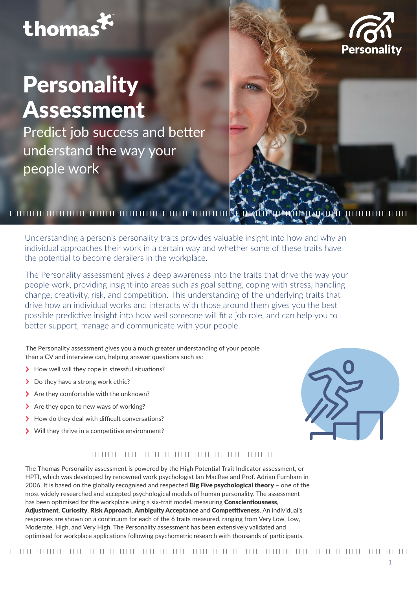## thomas

# **Personality** Assessment

Predict job success and better understand the way your people work

## 

Understanding a person's personality traits provides valuable insight into how and why an individual approaches their work in a certain way and whether some of these traits have the potential to become derailers in the workplace.

The Personality assessment gives a deep awareness into the traits that drive the way your people work, providing insight into areas such as goal setting, coping with stress, handling change, creativity, risk, and competition. This understanding of the underlying traits that drive how an individual works and interacts with those around them gives you the best possible predictive insight into how well someone will fit a job role, and can help you to better support, manage and communicate with your people.

The Personality assessment gives you a much greater understanding of your people than a CV and interview can, helping answer questions such as:

- > How well will they cope in stressful situations?
- > Do they have a strong work ethic?
- > Are they comfortable with the unknown?
- > Are they open to new ways of working?
- >How do they deal with difficult conversations?
- >Will they thrive in a competitive environment?



**Personality** 

#### 

The Thomas Personality assessment is powered by the High Potential Trait Indicator assessment, or HPTI, which was developed by renowned work psychologist Ian MacRae and Prof. Adrian Furnham in 2006. It is based on the globally recognised and respected Big Five psychological theory - one of the most widely researched and accepted psychological models of human personality. The assessment has been optimised for the workplace using a six-trait model, measuring **Conscientiousness**, Adjustment, Curiosity, Risk Approach, Ambiguity Acceptance and Competitiveness. An individual's responses are shown on a continuum for each of the 6 traits measured, ranging from Very Low, Low, Moderate, High, and Very High. The Personality assessment has been extensively validated and optimised for workplace applications following psychometric research with thousands of participants.

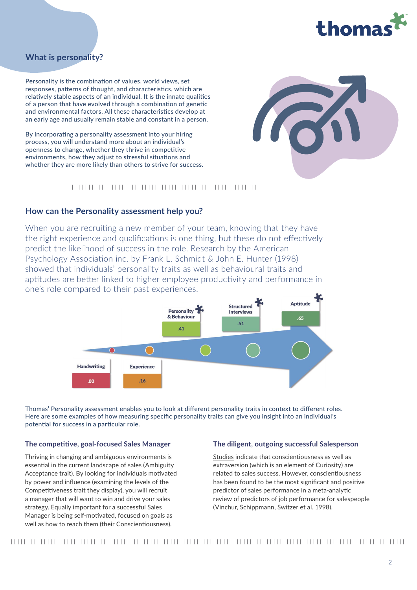

### **What is personality?**

Personality is the combination of values, world views, set responses, patterns of thought, and characteristics, which are relatively stable aspects of an individual. It is the innate qualities of a person that have evolved through a combination of genetic and environmental factors. All these characteristics develop at an early age and usually remain stable and constant in a person.

By incorporating a personality assessment into your hiring process, you will understand more about an individual's openness to change, whether they thrive in competitive environments, how they adjust to stressful situations and whether they are more likely than others to strive for success.

#### 

#### **How can the Personality assessment help you?**

When you are recruiting a new member of your team, knowing that they have the right experience and qualifications is one thing, but these do not effectively predict the likelihood of success in the role. Research by the American Psychology Association inc. by Frank L. Schmidt & John E. Hunter (1998) showed that individuals' personality traits as well as behavioural traits and aptitudes are better linked to higher employee productivity and performance in one's role compared to their past experiences.



Thomas' Personality assessment enables you to look at different personality traits in context to different roles. Here are some examples of how measuring specific personality traits can give you insight into an individual's potential for success in a particular role.

#### **The competitive, goal-focused Sales Manager**

Thriving in changing and ambiguous environments is essential in the current landscape of sales (Ambiguity Acceptance trait). By looking for individuals motivated by power and influence (examining the levels of the Competitiveness trait they display), you will recruit a manager that will want to win and drive your sales strategy. Equally important for a successful Sales Manager is being self-motivated, focused on goals as well as how to reach them (their Conscientiousness).

#### **The diligent, outgoing successful Salesperson**

[Studies](https://www.thomas.co/resources/type/whitepapers/what-good-looks-like) indicate that conscientiousness as well as extraversion (which is an element of Curiosity) are related to sales success. However, conscientiousness has been found to be the most significant and positive predictor of sales performance in a meta-analytic review of predictors of job performance for salespeople (Vinchur, Schippmann, Switzer et al. 1998).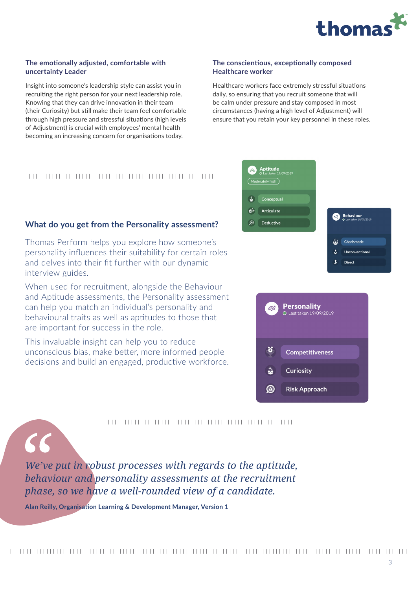

#### **The emotionally adjusted, comfortable with uncertainty Leader**

Insight into someone's leadership style can assist you in recruiting the right person for your next leadership role. Knowing that they can drive innovation in their team (their Curiosity) but still make their team feel comfortable through high pressure and stressful situations (high levels of Adjustment) is crucial with employees' mental health becoming an increasing concern for organisations today.

#### **The conscientious, exceptionally composed Healthcare worker**

Healthcare workers face extremely stressful situations daily, so ensuring that you recruit someone that will be calm under pressure and stay composed in most circumstances (having a high level of Adjustment) will ensure that you retain your key personnel in these roles.

### 

#### **What do you get from the Personality assessment?**

Thomas Perform helps you explore how someone's personality influences their suitability for certain roles and delves into their fit further with our dynamic interview guides.

When used for recruitment, alongside the Behaviour and Aptitude assessments, the Personality assessment can help you match an individual's personality and behavioural traits as well as aptitudes to those that are important for success in the role.

This invaluable insight can help you to reduce unconscious bias, make better, more informed people decisions and build an engaged, productive workforce.

*We've put in robust processes with regards to the aptitude, behaviour and personality assessments at the recruitment phase, so we have a well-rounded view of a candidate.*

**Alan Reilly, Organisation Learning & Development Manager, Version 1**